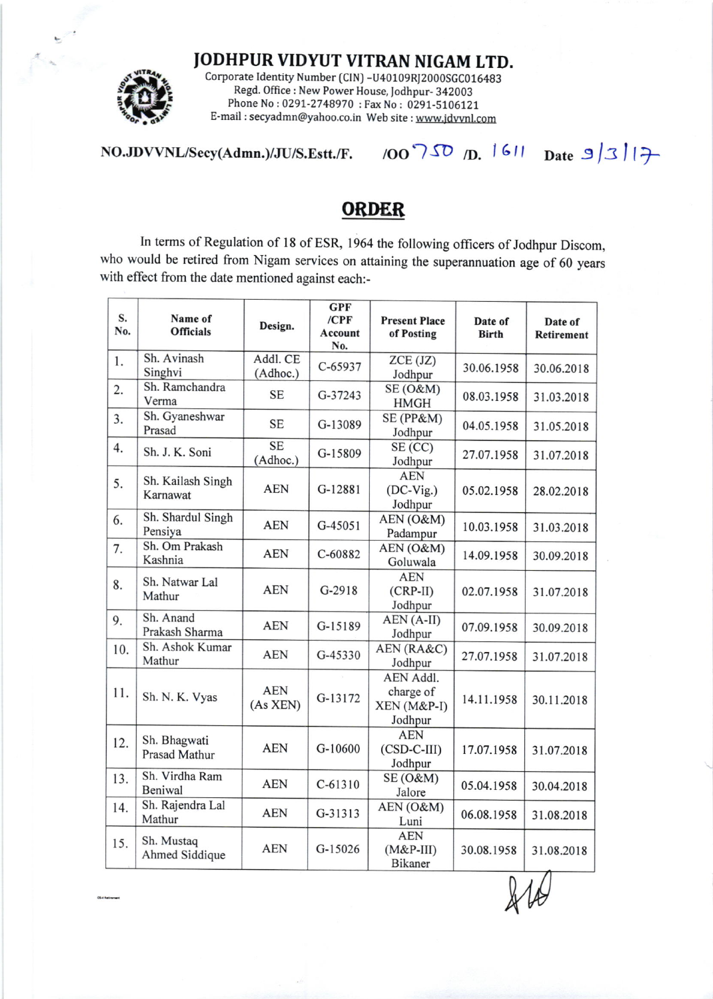JODHPUR VIDYUT VITRAN NIGAM LTD.



Corporate Identity Number (CIN) -U40109RJ2000SGC016483 Regd. Office : New Power House, fodhpur- 342003 Phone No: 0291-2748970 : Fax No: 0291-5106121 E-mail : secyadmn@yahoo.co.in Web site : www.idwnl.com

 $NO.JDVVNL/Secy(Admn.)/JU/S.Estt./F.$  /OO  $750$  /D. 1611 Date  $9/3$  | 17

## **ORDER**

In terms of Regulation of 18 of ESR, 1964 the following officers of Jodhpur Discom, who would be retired from Nigam services on attaining the superannuation age of 60 years with effect from the date mentioned against each:-

| S.<br>No. | Name of<br><b>Officials</b>          | Design.                | <b>GPF</b><br>$/$ CPF<br>Account<br>No. | <b>Present Place</b><br>of Posting               | Date of<br><b>Birth</b> | Date of<br>Retirement |
|-----------|--------------------------------------|------------------------|-----------------------------------------|--------------------------------------------------|-------------------------|-----------------------|
| 1.        | Sh. Avinash<br>Singhvi               | Addl. CE<br>(Adhoc.)   | $C-65937$                               | ZCE (JZ)<br>Jodhpur                              | 30.06.1958              | 30.06.2018            |
| 2.        | Sh. Ramchandra<br>Verma              | <b>SE</b>              | G-37243                                 | $SE(0\&M)$<br><b>HMGH</b>                        | 08.03.1958              | 31.03.2018            |
| 3.        | Sh. Gyaneshwar<br>Prasad             | <b>SE</b>              | G-13089                                 | SE (PP&M)<br>Jodhpur                             | 04.05.1958              | 31.05.2018            |
| 4.        | Sh. J. K. Soni                       | <b>SE</b><br>(Adhoc.)  | G-15809                                 | SE(CC)<br>Jodhpur                                | 27.07.1958              | 31.07.2018            |
| 5.        | Sh. Kailash Singh<br>Karnawat        | <b>AEN</b>             | G-12881                                 | <b>AEN</b><br>$(DC-Vig.)$<br>Jodhpur             | 05.02.1958              | 28.02.2018            |
| 6.        | Sh. Shardul Singh<br>Pensiya         | <b>AEN</b>             | $G-45051$                               | AEN (O&M)<br>Padampur                            | 10.03.1958              | 31.03.2018            |
| 7.        | Sh. Om Prakash<br>Kashnia            | <b>AEN</b>             | C-60882                                 | AEN (O&M)<br>Goluwala                            | 14.09.1958              | 30.09.2018            |
| 8.        | Sh. Natwar Lal<br>Mathur             | <b>AEN</b>             | $G-2918$                                | <b>AEN</b><br>$(CRP-II)$<br>Jodhpur              | 02.07.1958              | 31.07.2018            |
| 9.        | Sh. Anand<br>Prakash Sharma          | <b>AEN</b>             | G-15189                                 | AEN (A-II)<br>Jodhpur                            | 07.09.1958              | 30.09.2018            |
| 10.       | Sh. Ashok Kumar<br>Mathur            | <b>AEN</b>             | G-45330                                 | AEN (RA&C)<br>Jodhpur                            | 27.07.1958              | 31.07.2018            |
| 11.       | Sh. N. K. Vyas                       | <b>AEN</b><br>(As XEN) | G-13172                                 | AEN Addl.<br>charge of<br>XEN (M&P-I)<br>Jodhpur | 14.11.1958              | 30.11.2018            |
| 12.       | Sh. Bhagwati<br><b>Prasad Mathur</b> | <b>AEN</b>             | G-10600                                 | <b>AEN</b><br>$(CSD-C-III)$<br>Jodhpur           | 17.07.1958              | 31.07.2018            |
| 13.       | Sh. Virdha Ram<br>Beniwal            | <b>AEN</b>             | $C-61310$                               | $SE(0\&M)$<br>Jalore                             | 05.04.1958              | 30.04.2018            |
| 14.       | Sh. Rajendra Lal<br>Mathur           | <b>AEN</b>             | G-31313                                 | AEN (O&M)<br>Luni                                | 06.08.1958              | 31.08.2018            |
| 15.       | Sh. Mustaq<br>Ahmed Siddique         | <b>AEN</b>             | G-15026                                 | <b>AEN</b><br>$(M&P-III)$<br>Bikaner             | 30.08.1958              | 31.08.2018            |

 $\lambda\mu$